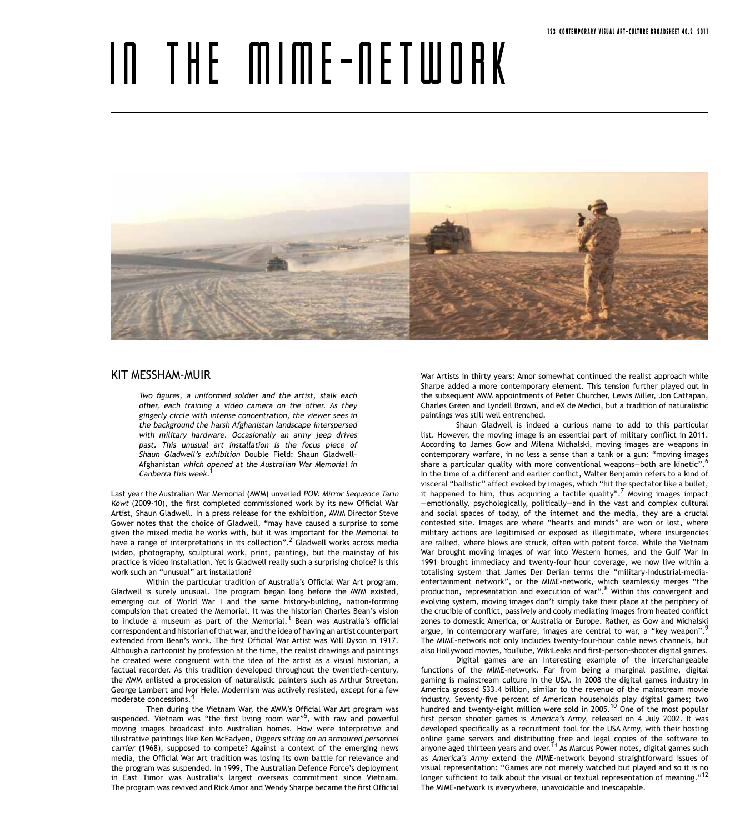## IN THE MIME-NETWORK



## Kit Messham-Muir

Two figures, a uniformed soldier and the artist, stalk each other, each training a video camera on the other. As they gingerly circle with intense concentration, the viewer sees in the background the harsh Afghanistan landscape interspersed with military hardware. Occasionally an army jeep drives past. This unusual art installation is the focus piece of Shaun Gladwell's exhibition Double Field: Shaun Gladwell– Afghanistan which opened at the Australian War Memorial in Canberra this week.<sup>1</sup>

Last year the Australian War Memorial (AWM) unveiled POV: Mirror Sequence Tarin Kowt (2009-10), the first completed commissioned work by its new Official War Artist, Shaun Gladwell. In a press release for the exhibition, AWM Director Steve Gower notes that the choice of Gladwell, "may have caused a surprise to some given the mixed media he works with, but it was important for the Memorial to have a range of interpretations in its collection".<sup>2</sup> Gladwell works across media (video, photography, sculptural work, print, painting), but the mainstay of his practice is video installation. Yet is Gladwell really such a surprising choice? Is this work such an "unusual" art installation?

Within the particular tradition of Australia's Official War Art program, Gladwell is surely unusual. The program began long before the AWM existed, emerging out of World War I and the same history-building, nation-forming compulsion that created the Memorial. It was the historian Charles Bean's vision to include a museum as part of the Memorial.<sup>3</sup> Bean was Australia's official correspondent and historian of that war, and the idea of having an artist counterpart extended from Bean's work. The first Official War Artist was Will Dyson in 1917. Although a cartoonist by profession at the time, the realist drawings and paintings he created were congruent with the idea of the artist as a visual historian, a factual recorder. As this tradition developed throughout the twentieth-century, the AWM enlisted a procession of naturalistic painters such as Arthur Streeton, George Lambert and Ivor Hele. Modernism was actively resisted, except for a few moderate concessions.<sup>4</sup>

Then during the Vietnam War, the AWM's Official War Art program was suspended. Vietnam was "the first living room war"<sup>5</sup>, with raw and powerful moving images broadcast into Australian homes. How were interpretive and illustrative paintings like Ken McFadyen, Diggers sitting on an armoured personnel carrier (1968), supposed to compete? Against a context of the emerging news media, the Official War Art tradition was losing its own battle for relevance and the program was suspended. In 1999, The Australian Defence Force's deployment in East Timor was Australia's largest overseas commitment since Vietnam. The program was revived and Rick Amor and Wendy Sharpe became the first Official

War Artists in thirty years: Amor somewhat continued the realist approach while Sharpe added a more contemporary element. This tension further played out in the subsequent AWM appointments of Peter Churcher, Lewis Miller, Jon Cattapan, Charles Green and Lyndell Brown, and eX de Medici, but a tradition of naturalistic paintings was still well entrenched.

Shaun Gladwell is indeed a curious name to add to this particular list. However, the moving image is an essential part of military conflict in 2011. According to James Gow and Milena Michalski, moving images are weapons in contemporary warfare, in no less a sense than a tank or a gun: "moving images share a particular quality with more conventional weapons-both are kinetic".<sup>6</sup> In the time of a different and earlier conflict, Walter Benjamin refers to a kind of visceral "ballistic" affect evoked by images, which "hit the spectator like a bullet, it happened to him, thus acquiring a tactile quality".<sup>7</sup> Moving images impact —emotionally, psychologically, politically—and in the vast and complex cultural and social spaces of today, of the internet and the media, they are a crucial contested site. Images are where "hearts and minds" are won or lost, where military actions are legitimised or exposed as illegitimate, where insurgencies are rallied, where blows are struck, often with potent force. While the Vietnam War brought moving images of war into Western homes, and the Gulf War in 1991 brought immediacy and twenty-four hour coverage, we now live within a totalising system that James Der Derian terms the "military-industrial-mediaentertainment network", or the MIME-network, which seamlessly merges "the production, representation and execution of war".<sup>8</sup> Within this convergent and evolving system, moving images don't simply take their place at the periphery of the crucible of conflict, passively and cooly mediating images from heated conflict zones to domestic America, or Australia or Europe. Rather, as Gow and Michalski argue, in contemporary warfare, images are central to war, a "key weapon".<sup>9</sup> The MIME-network not only includes twenty-four-hour cable news channels, but also Hollywood movies, YouTube, WikiLeaks and first-person-shooter digital games.

Digital games are an interesting example of the interchangeable functions of the MIME-network. Far from being a marginal pastime, digital gaming is mainstream culture in the USA. In 2008 the digital games industry in America grossed \$33.4 billion, similar to the revenue of the mainstream movie industry. Seventy-five percent of American households play digital games; two hundred and twenty-eight million were sold in 2005.<sup>10</sup> One of the most popular first person shooter games is America's Army, released on 4 July 2002. It was developed specifically as a recruitment tool for the USA Army, with their hosting online game servers and distributing free and legal copies of the software to<br>anyone aged thirteen years and over.<sup>11</sup> As Marcus Power notes, digital games such as America's Army extend the MIME-network beyond straightforward issues of visual representation: "Games are not merely watched but played and so it is no longer sufficient to talk about the visual or textual representation of meaning."<sup>12</sup> The MIME-network is everywhere, unavoidable and inescapable.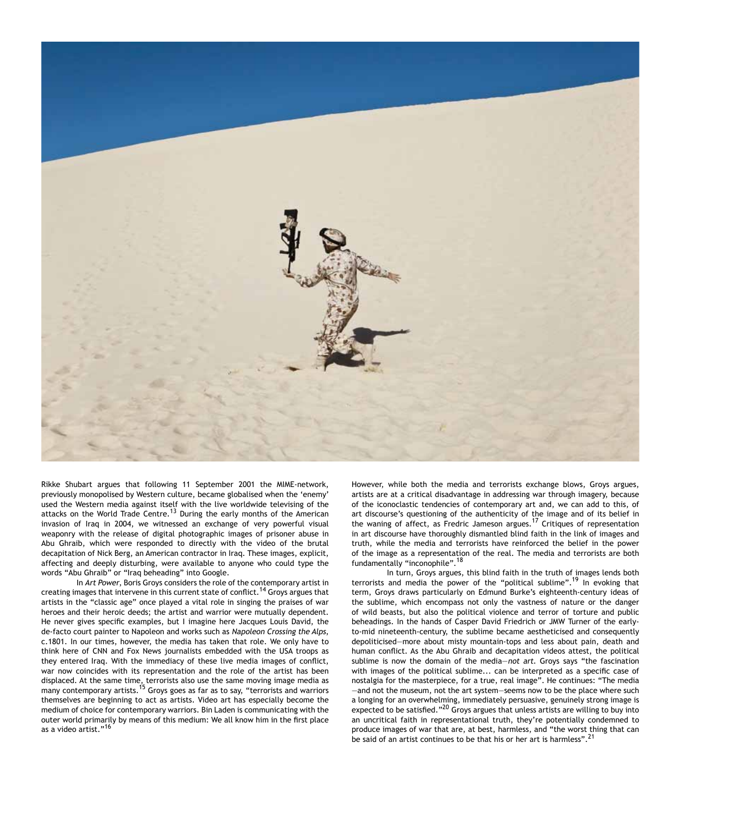

Rikke Shubart argues that following 11 September 2001 the MIME-network, previously monopolised by Western culture, became globalised when the 'enemy' used the Western media against itself with the live worldwide televising of the attacks on the World Trade Centre.<sup>13</sup> During the early months of the American invasion of Iraq in 2004, we witnessed an exchange of very powerful visual weaponry with the release of digital photographic images of prisoner abuse in Abu Ghraib, which were responded to directly with the video of the brutal decapitation of Nick Berg, an American contractor in Iraq. These images, explicit, affecting and deeply disturbing, were available to anyone who could type the words "Abu Ghraib" or "Iraq beheading" into Google.

In Art Power, Boris Groys considers the role of the contemporary artist in creating images that intervene in this current state of conflict.14 Groys argues that artists in the "classic age" once played a vital role in singing the praises of war heroes and their heroic deeds; the artist and warrior were mutually dependent. He never gives specific examples, but I imagine here Jacques Louis David, the de-facto court painter to Napoleon and works such as Napoleon Crossing the Alps, c.1801. In our times, however, the media has taken that role. We only have to think here of CNN and Fox News journalists embedded with the USA troops as they entered Iraq. With the immediacy of these live media images of conflict, war now coincides with its representation and the role of the artist has been displaced. At the same time, terrorists also use the same moving image media as many contemporary artists.<sup>15</sup> Groys goes as far as to say, "terrorists and warriors themselves are beginning to act as artists. Video art has especially become the medium of choice for contemporary warriors. Bin Laden is communicating with the outer world primarily by means of this medium: We all know him in the first place as a video artist."<sup>16</sup>

However, while both the media and terrorists exchange blows, Groys argues, artists are at a critical disadvantage in addressing war through imagery, because of the iconoclastic tendencies of contemporary art and, we can add to this, of art discourse's questioning of the authenticity of the image and of its belief in the waning of affect, as Fredric Jameson argues.17 Critiques of representation in art discourse have thoroughly dismantled blind faith in the link of images and truth, while the media and terrorists have reinforced the belief in the power of the image as a representation of the real. The media and terrorists are both fundamentally "inconophile".<sup>18</sup>

In turn, Groys argues, this blind faith in the truth of images lends both terrorists and media the power of the "political sublime".<sup>19</sup> In evoking that term, Groys draws particularly on Edmund Burke's eighteenth-century ideas of the sublime, which encompass not only the vastness of nature or the danger of wild beasts, but also the political violence and terror of torture and public beheadings. In the hands of Casper David Friedrich or JMW Turner of the earlyto-mid nineteenth-century, the sublime became aestheticised and consequently depoliticised—more about misty mountain-tops and less about pain, death and human conflict. As the Abu Ghraib and decapitation videos attest, the political sublime is now the domain of the media-not art. Groys says "the fascination with images of the political sublime... can be interpreted as a specific case of nostalgia for the masterpiece, for a true, real image". He continues: "The media —and not the museum, not the art system—seems now to be the place where such a longing for an overwhelming, immediately persuasive, genuinely strong image is expected to be satisfied."<sup>20</sup> Groys argues that unless artists are willing to buy into an uncritical faith in representational truth, they're potentially condemned to produce images of war that are, at best, harmless, and "the worst thing that can be said of an artist continues to be that his or her art is harmless".<sup>21</sup>